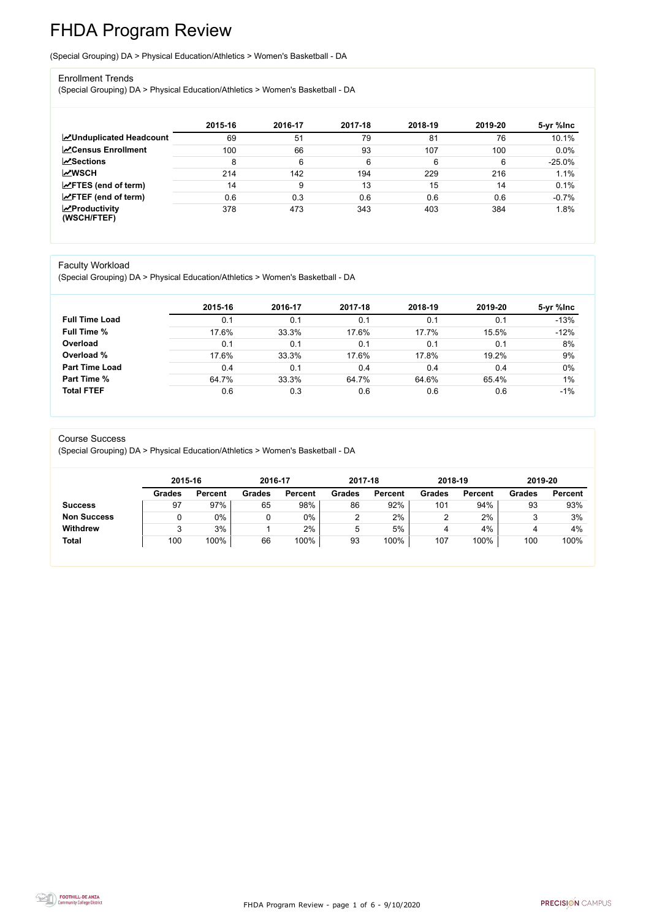FHDA Program Review - page 1 of 6 - 9/10/2020



# FHDA Program Review

(Special Grouping) DA > Physical Education/Athletics > Women's Basketball - DA

#### Enrollment Trends

(Special Grouping) DA > Physical Education/Athletics > Women's Basketball - DA

|                                                  | 2015-16 | 2016-17 | 2017-18 | 2018-19 | 2019-20 | 5-yr %lnc |
|--------------------------------------------------|---------|---------|---------|---------|---------|-----------|
| <b>ZUnduplicated Headcount</b>                   | 69      | 51      | 79      | 81      | 76      | 10.1%     |
| <b>ZCensus Enrollment</b>                        | 100     | 66      | 93      | 107     | 100     | 0.0%      |
| <b>ZSections</b>                                 | 8       | 6       | 6       | 6       | 6       | $-25.0%$  |
| <b>MWSCH</b>                                     | 214     | 142     | 194     | 229     | 216     | 1.1%      |
| $\angle$ FTES (end of term)                      | 14      | 9       | 13      | 15      | 14      | 0.1%      |
| $\angle$ FTEF (end of term)                      | 0.6     | 0.3     | 0.6     | 0.6     | 0.6     | $-0.7%$   |
| $\sqrt{\frac{1}{2}}$ Productivity<br>(WSCH/FTEF) | 378     | 473     | 343     | 403     | 384     | 1.8%      |

#### Faculty Workload

(Special Grouping) DA > Physical Education/Athletics > Women's Basketball - DA

|                       | 2015-16 | 2016-17 | 2017-18 | 2018-19 | 2019-20 | 5-yr %lnc |
|-----------------------|---------|---------|---------|---------|---------|-----------|
| <b>Full Time Load</b> | 0.1     | 0.1     | 0.1     | 0.1     | 0.1     | $-13%$    |
| <b>Full Time %</b>    | 17.6%   | 33.3%   | 17.6%   | 17.7%   | 15.5%   | $-12%$    |
| Overload              | 0.1     | 0.1     | 0.1     | 0.1     | 0.1     | 8%        |
| Overload %            | 17.6%   | 33.3%   | 17.6%   | 17.8%   | 19.2%   | 9%        |
| <b>Part Time Load</b> | 0.4     | 0.1     | 0.4     | 0.4     | 0.4     | 0%        |
| <b>Part Time %</b>    | 64.7%   | 33.3%   | 64.7%   | 64.6%   | 65.4%   | $1\%$     |
| <b>Total FTEF</b>     | 0.6     | 0.3     | 0.6     | 0.6     | 0.6     | $-1\%$    |

#### Course Success

(Special Grouping) DA > Physical Education/Athletics > Women's Basketball - DA

|                    |               | 2015-16        |               | 2016-17        | 2017-18 |                | 2018-19       |                | 2019-20       |                |
|--------------------|---------------|----------------|---------------|----------------|---------|----------------|---------------|----------------|---------------|----------------|
|                    | <b>Grades</b> | <b>Percent</b> | <b>Grades</b> | <b>Percent</b> | Grades  | <b>Percent</b> | <b>Grades</b> | <b>Percent</b> | <b>Grades</b> | <b>Percent</b> |
| <b>Success</b>     | 97            | 97%            | 65            | 98%            | 86      | 92%            | 101           | 94%            | 93            | 93%            |
| <b>Non Success</b> |               | 0%             |               | 0%             | ◠       | 2%             |               | 2%             |               | 3%             |
| <b>Withdrew</b>    |               | 3%             |               | $2\%$          | ხ       | 5%             | 4             | 4%             |               | 4%             |
| <b>Total</b>       | 100           | 100%           | 66            | 100%           | 93      | 100%           | 107           | 100%           | 100           | 100%           |

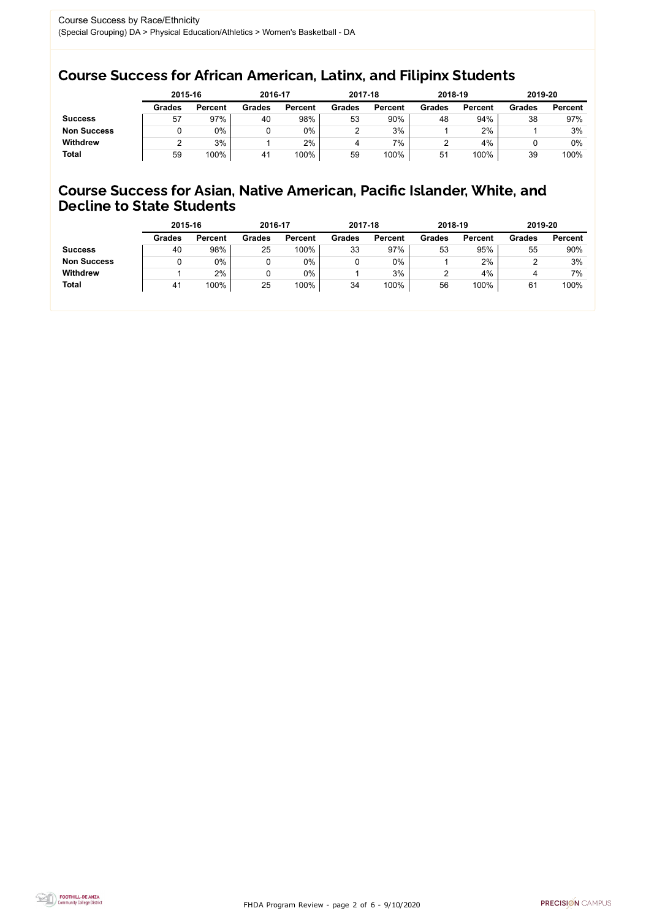FHDA Program Review - page 2 of 6 - 9/10/2020



## Course Success for African American, Latinx, and Filipinx Students

## Course Success for Asian, Native American, Pacific Islander, White, and Decline to State Students

|                    | 2015-16       |                | 2016-17       |                | 2017-18       |                | 2018-19       |                | 2019-20       |                |
|--------------------|---------------|----------------|---------------|----------------|---------------|----------------|---------------|----------------|---------------|----------------|
|                    | <b>Grades</b> | <b>Percent</b> | <b>Grades</b> | <b>Percent</b> | <b>Grades</b> | <b>Percent</b> | <b>Grades</b> | <b>Percent</b> | <b>Grades</b> | <b>Percent</b> |
| <b>Success</b>     | 57            | 97%            | 40            | 98%            | 53            | 90%            | 48            | 94%            | 38            | 97%            |
| <b>Non Success</b> |               | $0\%$          |               | $0\%$          |               | 3%             |               | 2%             |               | 3%             |
| <b>Withdrew</b>    |               | 3%             |               | 2%             |               | 7%             |               | 4%             |               | 0%             |
| <b>Total</b>       | 59            | 100%           | 41            | 100%           | 59            | 100%           | 51            | 100%           | 39            | 100%           |

|                    | 2015-16       |                | 2016-17       |                | 2017-18       |                | 2018-19       |                | 2019-20       |                |
|--------------------|---------------|----------------|---------------|----------------|---------------|----------------|---------------|----------------|---------------|----------------|
|                    | <b>Grades</b> | <b>Percent</b> | <b>Grades</b> | <b>Percent</b> | <b>Grades</b> | <b>Percent</b> | <b>Grades</b> | <b>Percent</b> | <b>Grades</b> | <b>Percent</b> |
| <b>Success</b>     | 40            | 98%            | 25            | 100%           | 33            | 97%            | 53            | 95%            | 55            | 90%            |
| <b>Non Success</b> |               | $0\%$          |               | 0%             |               | $0\%$          |               | 2%             |               | 3%             |
| <b>Withdrew</b>    |               | 2%             |               | 0%             |               | 3%             |               | 4%             |               | 7%             |
| <b>Total</b>       | 41            | 100%           | 25            | 100%           | 34            | 100%           | 56            | 100%           | 61            | 100%           |
|                    |               |                |               |                |               |                |               |                |               |                |

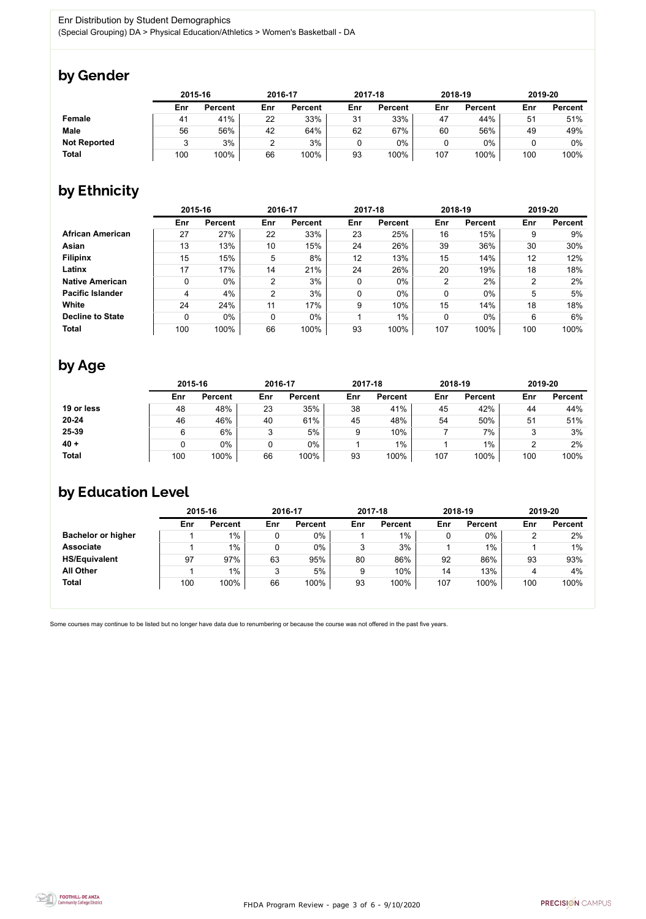

Some courses may continue to be listed but no longer have data due to renumbering or because the course was not offered in the past five years.



## by Gender

|                     | 2015-16 |                |     | 2016-17        |     | 2017-18        |     | 2018-19        |     | 2019-20        |  |
|---------------------|---------|----------------|-----|----------------|-----|----------------|-----|----------------|-----|----------------|--|
|                     | Enr     | <b>Percent</b> | Enr | <b>Percent</b> | Enr | <b>Percent</b> | Enr | <b>Percent</b> | Enr | <b>Percent</b> |  |
| Female              | 41      | 41%            | 22  | 33%            | 31  | 33%            | 47  | 44%            | 51  | 51%            |  |
| <b>Male</b>         | 56      | 56%            | 42  | 64%            | 62  | 67%            | 60  | 56%            | 49  | 49%            |  |
| <b>Not Reported</b> |         | 3%             | ົ   | 3%             |     | 0%             |     | $0\%$          |     | 0%             |  |
| <b>Total</b>        | 100     | 100%           | 66  | 100%           | 93  | 100%           | 107 | 100%           | 100 | 100%           |  |

# by Ethnicity

|                         | 2015-16 |                |                | 2016-17        |             | 2017-18        |                | 2018-19        | 2019-20 |                |
|-------------------------|---------|----------------|----------------|----------------|-------------|----------------|----------------|----------------|---------|----------------|
|                         | Enr     | <b>Percent</b> | Enr            | <b>Percent</b> | Enr         | <b>Percent</b> | Enr            | <b>Percent</b> | Enr     | <b>Percent</b> |
| <b>African American</b> | 27      | 27%            | 22             | 33%            | 23          | 25%            | 16             | 15%            | 9       | 9%             |
| <b>Asian</b>            | 13      | 13%            | 10             | 15%            | 24          | 26%            | 39             | 36%            | 30      | 30%            |
| <b>Filipinx</b>         | 15      | 15%            | 5              | 8%             | 12          | 13%            | 15             | 14%            | 12      | 12%            |
| Latinx                  | 17      | 17%            | 14             | 21%            | 24          | 26%            | 20             | 19%            | 18      | 18%            |
| <b>Native American</b>  | 0       | $0\%$          | $\overline{2}$ | 3%             | $\mathbf 0$ | $0\%$          | $\overline{2}$ | 2%             | ົ       | 2%             |
| <b>Pacific Islander</b> | 4       | 4%             | 2              | 3%             | $\mathbf 0$ | $0\%$          | 0              | $0\%$          | 5       | 5%             |
| White                   | 24      | 24%            | 11             | 17%            | 9           | 10%            | 15             | 14%            | 18      | 18%            |
| <b>Decline to State</b> | 0       | $0\%$          | 0              | 0%             |             | $1\%$          | 0              | $0\%$          | 6       | 6%             |
| <b>Total</b>            | 100     | 100%           | 66             | 100%           | 93          | 100%           | 107            | 100%           | 100     | 100%           |

## by Age

|              | 2015-16 |                |        | 2016-17        |     | 2017-18        |     | 2018-19        |     | 2019-20        |  |
|--------------|---------|----------------|--------|----------------|-----|----------------|-----|----------------|-----|----------------|--|
|              | Enr     | <b>Percent</b> | Enr    | <b>Percent</b> | Enr | <b>Percent</b> | Enr | <b>Percent</b> | Enr | <b>Percent</b> |  |
| 19 or less   | 48      | 48%            | 23     | 35%            | 38  | 41%            | 45  | 42%            | 44  | 44%            |  |
| $20 - 24$    | 46      | 46%            | 40     | 61%            | 45  | 48%            | 54  | 50%            | 51  | 51%            |  |
| 25-39        |         | $6\%$          | ິ<br>J | 5%             |     | 10%            |     | 7%             |     | 3%             |  |
| $40 +$       |         | 0%             | 0      | $0\%$          |     | $1\%$          |     | $1\%$          |     | 2%             |  |
| <b>Total</b> | 100     | 100%           | 66     | 100%           | 93  | 100%           | 107 | 100%           | 100 | 100%           |  |

# by Education Level

|                           | 2015-16 |                |     | 2016-17        |     | 2017-18        | 2018-19 |                | 2019-20 |                |
|---------------------------|---------|----------------|-----|----------------|-----|----------------|---------|----------------|---------|----------------|
|                           | Enr     | <b>Percent</b> | Enr | <b>Percent</b> | Enr | <b>Percent</b> | Enr     | <b>Percent</b> | Enr     | <b>Percent</b> |
| <b>Bachelor or higher</b> |         | $1\%$          |     | $0\%$          |     | $1\%$          |         | $0\%$          |         | 2%             |
| <b>Associate</b>          |         | 1%             |     | $0\%$          | ົ   | 3%             |         | 1%             |         | $1\%$          |
| <b>HS/Equivalent</b>      | 97      | 97%            | 63  | 95%            | 80  | 86%            | 92      | 86%            | 93      | 93%            |
| <b>All Other</b>          |         | $1\%$          | 3   | 5%             | 9   | 10%            | 14      | 13%            | 4       | 4%             |
| <b>Total</b>              | 100     | 100%           | 66  | 100%           | 93  | 100%           | 107     | 100%           | 100     | 100%           |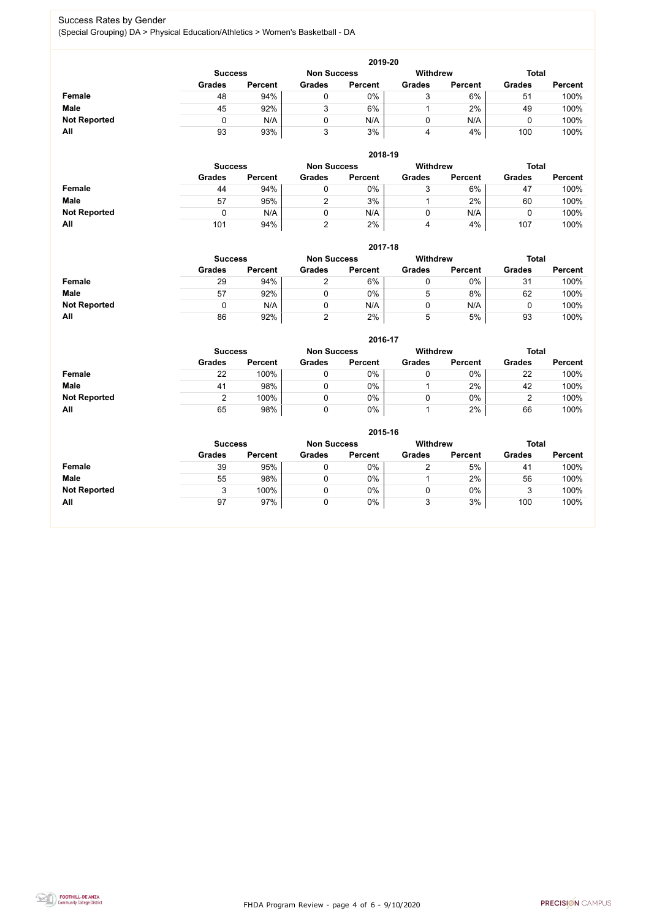FHDA Program Review - page 4 of 6 - 9/10/2020



#### Success Rates by Gender (Special Grouping) DA > Physical Education/Athletics > Women's Basketball - DA

|                     | 2019-20        |                |               |                |               |                |               |                |  |  |  |  |  |
|---------------------|----------------|----------------|---------------|----------------|---------------|----------------|---------------|----------------|--|--|--|--|--|
|                     | <b>Success</b> | Withdrew       |               | <b>Total</b>   |               |                |               |                |  |  |  |  |  |
|                     | <b>Grades</b>  | <b>Percent</b> | <b>Grades</b> | <b>Percent</b> | <b>Grades</b> | <b>Percent</b> | <b>Grades</b> | <b>Percent</b> |  |  |  |  |  |
| Female              | 48             | 94%            |               | 0%             | ັ             | 6%             | 51            | 100%           |  |  |  |  |  |
| <b>Male</b>         | 45             | 92%            |               | 6%             |               | 2%             | 49            | 100%           |  |  |  |  |  |
| <b>Not Reported</b> |                | N/A            |               | N/A            |               | N/A            |               | 100%           |  |  |  |  |  |
| All                 | 93             | 93%            |               | 3%             | 4             | 4%             | 100           | 100%           |  |  |  |  |  |

|                     | 2018-19                              |                |               |                |                 |                |               |                |  |  |  |  |  |
|---------------------|--------------------------------------|----------------|---------------|----------------|-----------------|----------------|---------------|----------------|--|--|--|--|--|
|                     | <b>Non Success</b><br><b>Success</b> |                |               |                | <b>Withdrew</b> |                | <b>Total</b>  |                |  |  |  |  |  |
|                     | <b>Grades</b>                        | <b>Percent</b> | <b>Grades</b> | <b>Percent</b> | <b>Grades</b>   | <b>Percent</b> | <b>Grades</b> | <b>Percent</b> |  |  |  |  |  |
| <b>Female</b>       | 44                                   | 94%            |               | 0%             | ັ               | 6%             | 47            | 100%           |  |  |  |  |  |
| <b>Male</b>         | 57                                   | 95%            |               | 3%             |                 | 2%             | 60            | 100%           |  |  |  |  |  |
| <b>Not Reported</b> |                                      | N/A            |               | N/A            | U               | N/A            |               | 100%           |  |  |  |  |  |
| All                 | 101                                  | 94%            |               | 2%             | 4               | 4%             | 107           | 100%           |  |  |  |  |  |

|                     | 2017-18        |                |                    |                 |               |                |               |                |  |  |  |  |  |
|---------------------|----------------|----------------|--------------------|-----------------|---------------|----------------|---------------|----------------|--|--|--|--|--|
|                     | <b>Success</b> |                | <b>Non Success</b> | <b>Withdrew</b> |               | <b>Total</b>   |               |                |  |  |  |  |  |
|                     | <b>Grades</b>  | <b>Percent</b> | <b>Grades</b>      | <b>Percent</b>  | <b>Grades</b> | <b>Percent</b> | <b>Grades</b> | <b>Percent</b> |  |  |  |  |  |
| <b>Female</b>       | 29             | 94%            | ⌒                  | 6%              |               | $0\%$          | 31            | 100%           |  |  |  |  |  |
| <b>Male</b>         | 57             | 92%            |                    | $0\%$           | 5             | 8%             | 62            | 100%           |  |  |  |  |  |
| <b>Not Reported</b> |                | N/A            | 0                  | N/A             |               | N/A            | υ             | 100%           |  |  |  |  |  |
| All                 | 86             | 92%            | 2                  | 2%              | 5             | 5%             | 93            | 100%           |  |  |  |  |  |

|                     |               | 2016-17        |               |                |                 |                |               |                |  |  |
|---------------------|---------------|----------------|---------------|----------------|-----------------|----------------|---------------|----------------|--|--|
|                     |               | <b>Success</b> |               |                | <b>Withdrew</b> |                | <b>Total</b>  |                |  |  |
|                     | <b>Grades</b> | <b>Percent</b> | <b>Grades</b> | <b>Percent</b> | <b>Grades</b>   | <b>Percent</b> | <b>Grades</b> | <b>Percent</b> |  |  |
| Female              | 22            | 100%           |               | 0%             |                 | $0\%$          | 22            | 100%           |  |  |
| <b>Male</b>         | 41            | 98%            |               | $0\%$          |                 | 2%             | 42            | 100%           |  |  |
| <b>Not Reported</b> |               | 100%           |               | 0%             |                 | $0\%$          |               | 100%           |  |  |
| All                 | 65            | 98%            |               | 0%             |                 | 2%             | 66            | 100%           |  |  |

|                     |                |                    |               | 2015-16        |               |                |               |                |
|---------------------|----------------|--------------------|---------------|----------------|---------------|----------------|---------------|----------------|
|                     | <b>Success</b> | <b>Non Success</b> |               | Withdrew       |               | <b>Total</b>   |               |                |
|                     | <b>Grades</b>  | <b>Percent</b>     | <b>Grades</b> | <b>Percent</b> | <b>Grades</b> | <b>Percent</b> | <b>Grades</b> | <b>Percent</b> |
| Female              | 39             | 95%                | 0             | $0\%$          | ⌒             | 5%             | 41            | 100%           |
| <b>Male</b>         | 55             | 98%                | 0             | $0\%$          |               | 2%             | 56            | 100%           |
| <b>Not Reported</b> |                | 100%               | 0             | 0%             | υ             | $0\%$          | 3             | 100%           |
| All                 | 97             | 97%                | 0             | 0%             | 3             | 3%             | 100           | 100%           |

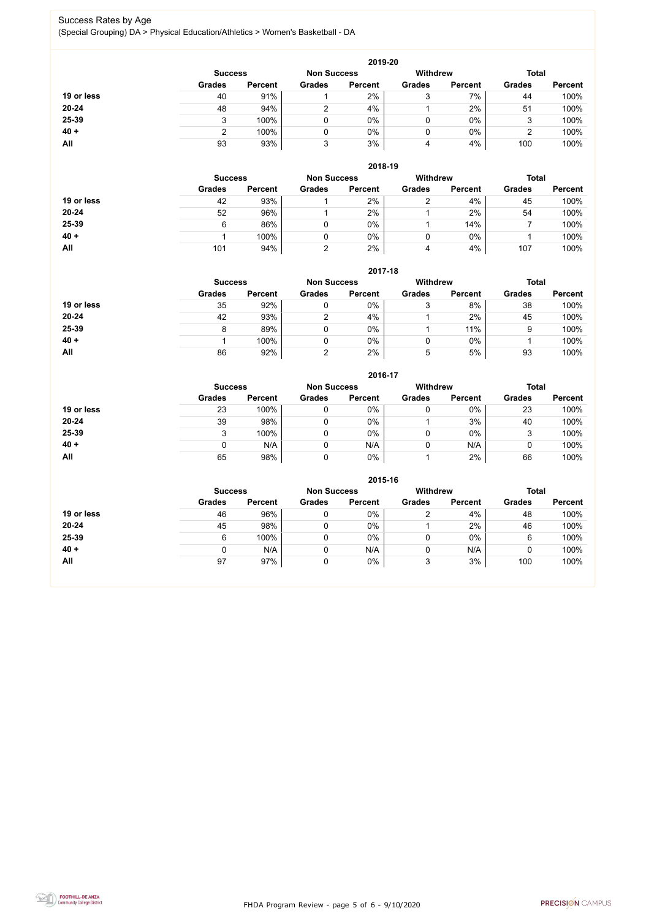FHDA Program Review - page 5 of 6 - 9/10/2020



#### Success Rates by Age (Special Grouping) DA > Physical Education/Athletics > Women's Basketball - DA

|            |                |                    |               | 2019-20         |               |                |               |                |
|------------|----------------|--------------------|---------------|-----------------|---------------|----------------|---------------|----------------|
|            | <b>Success</b> | <b>Non Success</b> |               | <b>Withdrew</b> |               | <b>Total</b>   |               |                |
|            | <b>Grades</b>  | <b>Percent</b>     | <b>Grades</b> | <b>Percent</b>  | <b>Grades</b> | <b>Percent</b> | <b>Grades</b> | <b>Percent</b> |
| 19 or less | 40             | 91%                |               | 2%              | 3             | 7%             | 44            | 100%           |
| 20-24      | 48             | 94%                | ⌒             | 4%              |               | 2%             | 51            | 100%           |
| 25-39      |                | 100%               | 0             | 0%              |               | $0\%$          | 3             | 100%           |
| $40 +$     |                | 100%               | 0             | 0%              |               | $0\%$          | ◠             | 100%           |
| All        | 93             | 93%                | 3             | 3%              | 4             | 4%             | 100           | 100%           |

|            |                |                    |               | 2018-19        |                                 |                |               |                |
|------------|----------------|--------------------|---------------|----------------|---------------------------------|----------------|---------------|----------------|
|            | <b>Success</b> | <b>Non Success</b> |               |                | <b>Withdrew</b><br><b>Total</b> |                |               |                |
|            | <b>Grades</b>  | <b>Percent</b>     | <b>Grades</b> | <b>Percent</b> | <b>Grades</b>                   | <b>Percent</b> | <b>Grades</b> | <b>Percent</b> |
| 19 or less | 42             | 93%                |               | 2%             | ⌒                               | 4%             | 45            | 100%           |
| $20 - 24$  | 52             | 96%                |               | 2%             |                                 | 2%             | 54            | 100%           |
| 25-39      | 6              | 86%                |               | $0\%$          |                                 | 14%            |               | 100%           |
| $40 +$     |                | 100%               |               | 0%             |                                 | $0\%$          |               | 100%           |
| All        | 101            | 94%                |               | 2%             | 4                               | 4%             | 107           | 100%           |

#### **2017-18**

|            |                |                    |               | 2017-18         |               |                |               |                |
|------------|----------------|--------------------|---------------|-----------------|---------------|----------------|---------------|----------------|
|            | <b>Success</b> | <b>Non Success</b> |               | <b>Withdrew</b> |               | <b>Total</b>   |               |                |
|            | <b>Grades</b>  | <b>Percent</b>     | <b>Grades</b> | <b>Percent</b>  | <b>Grades</b> | <b>Percent</b> | <b>Grades</b> | <b>Percent</b> |
| 19 or less | 35             | 92%                |               | $0\%$           |               | 8%             | 38            | 100%           |
| $20 - 24$  | 42             | 93%                |               | 4%              |               | 2%             | 45            | 100%           |
| 25-39      |                | 89%                |               | $0\%$           |               | 11%            | 9             | 100%           |
| $40 +$     |                | 100%               |               | $0\%$           |               | 0%             |               | 100%           |
| All        | 86             | 92%                |               | 2%              | 5             | 5%             | 93            | 100%           |

### **2016-17**



|            |                |                |                    | $2010 - 11$    |                 |                |               |                |  |
|------------|----------------|----------------|--------------------|----------------|-----------------|----------------|---------------|----------------|--|
|            | <b>Success</b> |                | <b>Non Success</b> |                | <b>Withdrew</b> |                |               | <b>Total</b>   |  |
|            | <b>Grades</b>  | <b>Percent</b> | <b>Grades</b>      | <b>Percent</b> | <b>Grades</b>   | <b>Percent</b> | <b>Grades</b> | <b>Percent</b> |  |
| 19 or less | 23             | 100%           |                    | $0\%$          | 0               | 0%             | 23            | 100%           |  |
| $20 - 24$  | 39             | 98%            |                    | $0\%$          |                 | 3%             | 40            | 100%           |  |
| 25-39      |                | 100%           |                    | $0\%$          | 0               | 0%             |               | 100%           |  |
| $40 +$     |                | N/A            |                    | N/A            | 0               | N/A            |               | 100%           |  |
| All        | 65             | 98%            |                    | $0\%$          |                 | 2%             | 66            | 100%           |  |

|            |                |                    |               | 2015-16         |               |                |               |                |
|------------|----------------|--------------------|---------------|-----------------|---------------|----------------|---------------|----------------|
|            | <b>Success</b> | <b>Non Success</b> |               | <b>Withdrew</b> |               | <b>Total</b>   |               |                |
|            | <b>Grades</b>  | <b>Percent</b>     | <b>Grades</b> | <b>Percent</b>  | <b>Grades</b> | <b>Percent</b> | <b>Grades</b> | <b>Percent</b> |
| 19 or less | 46             | 96%                | ν             | 0%              |               | 4%             | 48            | 100%           |
| $20 - 24$  | 45             | 98%                | u             | 0%              |               | 2%             | 46            | 100%           |
| 25-39      | 6              | 100%               |               | $0\%$           |               | 0%             | 6             | 100%           |
| $40 +$     |                | N/A                | υ             | N/A             |               | N/A            | 0             | 100%           |
| All        | 97             | 97%                | U             | 0%              |               | 3%             | 100           | 100%           |